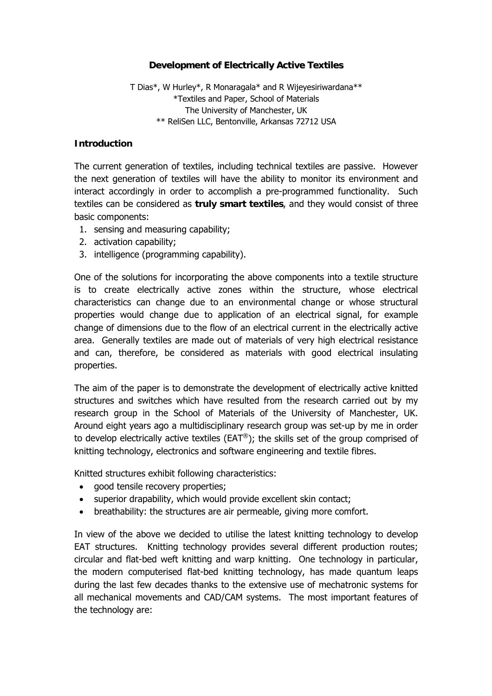# **Development of Electrically Active Textiles**

T Dias\*, W Hurley\*, R Monaragala\* and R Wijeyesiriwardana\*\* \*Textiles and Paper, School of Materials The University of Manchester, UK \*\* ReliSen LLC, Bentonville, Arkansas 72712 USA

#### **Introduction**

The current generation of textiles, including technical textiles are passive. However the next generation of textiles will have the ability to monitor its environment and interact accordingly in order to accomplish a pre-programmed functionality. Such textiles can be considered as **truly smart textiles**, and they would consist of three basic components:

- 1. sensing and measuring capability;
- 2. activation capability;
- 3. intelligence (programming capability).

One of the solutions for incorporating the above components into a textile structure is to create electrically active zones within the structure, whose electrical characteristics can change due to an environmental change or whose structural properties would change due to application of an electrical signal, for example change of dimensions due to the flow of an electrical current in the electrically active area. Generally textiles are made out of materials of very high electrical resistance and can, therefore, be considered as materials with good electrical insulating properties.

The aim of the paper is to demonstrate the development of electrically active knitted structures and switches which have resulted from the research carried out by my research group in the School of Materials of the University of Manchester, UK. Around eight years ago a multidisciplinary research group was set-up by me in order to develop electrically active textiles ( $EAT^{\circledR}$ ); the skills set of the group comprised of knitting technology, electronics and software engineering and textile fibres.

Knitted structures exhibit following characteristics:

- good tensile recovery properties;
- superior drapability, which would provide excellent skin contact;
- breathability: the structures are air permeable, giving more comfort.

In view of the above we decided to utilise the latest knitting technology to develop EAT structures. Knitting technology provides several different production routes; circular and flat-bed weft knitting and warp knitting. One technology in particular, the modern computerised flat-bed knitting technology, has made quantum leaps during the last few decades thanks to the extensive use of mechatronic systems for all mechanical movements and CAD/CAM systems. The most important features of the technology are: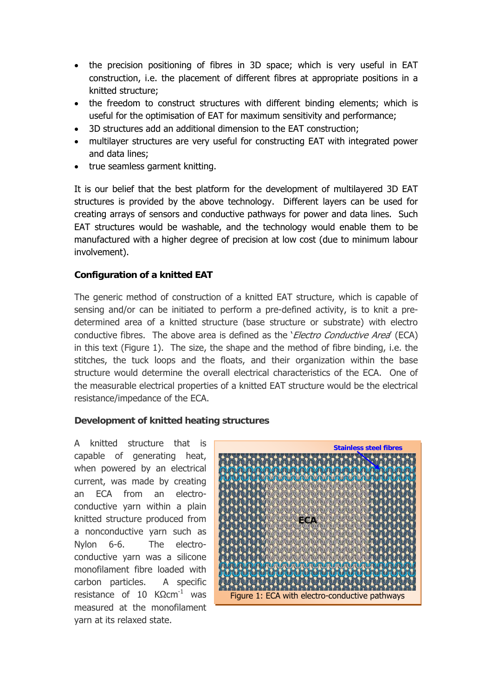- the precision positioning of fibres in 3D space; which is very useful in EAT construction, i.e. the placement of different fibres at appropriate positions in a knitted structure;
- the freedom to construct structures with different binding elements; which is useful for the optimisation of EAT for maximum sensitivity and performance;
- 3D structures add an additional dimension to the EAT construction;
- multilayer structures are very useful for constructing EAT with integrated power and data lines;
- true seamless garment knitting.

It is our belief that the best platform for the development of multilayered 3D EAT structures is provided by the above technology. Different layers can be used for creating arrays of sensors and conductive pathways for power and data lines. Such EAT structures would be washable, and the technology would enable them to be manufactured with a higher degree of precision at low cost (due to minimum labour involvement).

## **Configuration of a knitted EAT**

The generic method of construction of a knitted EAT structure, which is capable of sensing and/or can be initiated to perform a pre-defined activity, is to knit a predetermined area of a knitted structure (base structure or substrate) with electro conductive fibres. The above area is defined as the *`Electro Conductive Area'* (ECA) in this text (Figure 1). The size, the shape and the method of fibre binding, i.e. the stitches, the tuck loops and the floats, and their organization within the base structure would determine the overall electrical characteristics of the ECA. One of the measurable electrical properties of a knitted EAT structure would be the electrical resistance/impedance of the ECA.

### **Development of knitted heating structures**

A knitted structure that is capable of generating heat, when powered by an electrical current, was made by creating an ECA from an electroconductive yarn within a plain knitted structure produced from a nonconductive yarn such as Nylon 6-6. The electroconductive yarn was a silicone monofilament fibre loaded with carbon particles. A specific resistance of 10 KΩcm<sup>-1</sup> was measured at the monofilament yarn at its relaxed state.

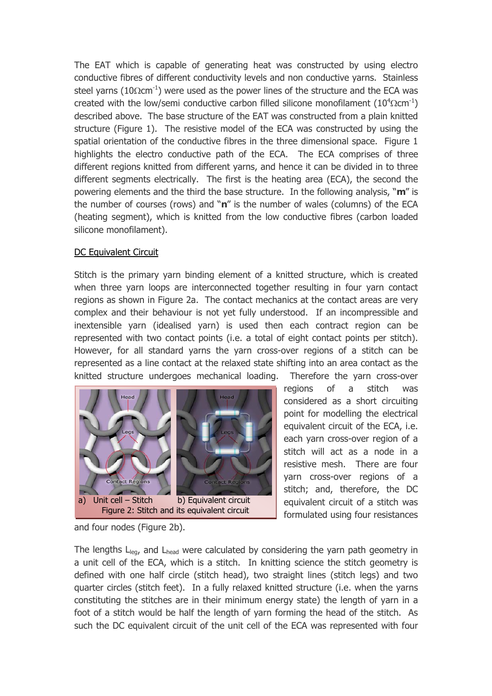The EAT which is capable of generating heat was constructed by using electro conductive fibres of different conductivity levels and non conductive yarns. Stainless steel yarns ( $10\Omega$ cm<sup>-1</sup>) were used as the power lines of the structure and the ECA was created with the low/semi conductive carbon filled silicone monofilament  $(10^4 \Omega \text{cm}^{-1})$ described above. The base structure of the EAT was constructed from a plain knitted structure (Figure 1). The resistive model of the ECA was constructed by using the spatial orientation of the conductive fibres in the three dimensional space. Figure 1 highlights the electro conductive path of the ECA. The ECA comprises of three different regions knitted from different yarns, and hence it can be divided in to three different segments electrically. The first is the heating area (ECA), the second the powering elements and the third the base structure. In the following analysis, "**m**" is the number of courses (rows) and "**n**" is the number of wales (columns) of the ECA (heating segment), which is knitted from the low conductive fibres (carbon loaded silicone monofilament).

# DC Equivalent Circuit

Stitch is the primary yarn binding element of a knitted structure, which is created when three yarn loops are interconnected together resulting in four yarn contact regions as shown in Figure 2a. The contact mechanics at the contact areas are very complex and their behaviour is not yet fully understood. If an incompressible and inextensible yarn (idealised yarn) is used then each contract region can be represented with two contact points (i.e. a total of eight contact points per stitch). However, for all standard yarns the yarn cross-over regions of a stitch can be represented as a line contact at the relaxed state shifting into an area contact as the knitted structure undergoes mechanical loading. Therefore the yarn cross-over



regions of a stitch was considered as a short circuiting point for modelling the electrical equivalent circuit of the ECA, i.e. each yarn cross-over region of a stitch will act as a node in a resistive mesh. There are four yarn cross-over regions of a stitch; and, therefore, the DC equivalent circuit of a stitch was formulated using four resistances

and four nodes (Figure 2b).

The lengths  $L_{\text{leaf}}$ , and  $L_{\text{head}}$  were calculated by considering the yarn path geometry in a unit cell of the ECA, which is a stitch. In knitting science the stitch geometry is defined with one half circle (stitch head), two straight lines (stitch legs) and two quarter circles (stitch feet). In a fully relaxed knitted structure (i.e. when the yarns constituting the stitches are in their minimum energy state) the length of yarn in a foot of a stitch would be half the length of yarn forming the head of the stitch. As such the DC equivalent circuit of the unit cell of the ECA was represented with four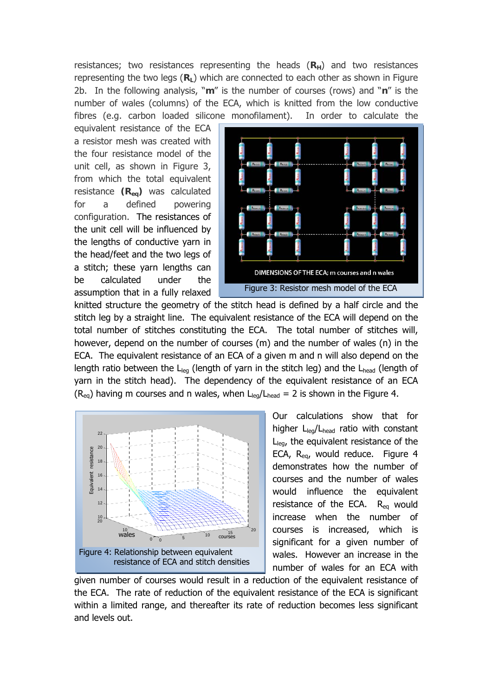resistances; two resistances representing the heads  $(R_H)$  and two resistances representing the two legs  $(R<sub>1</sub>)$  which are connected to each other as shown in Figure 2b. In the following analysis, "**m**" is the number of courses (rows) and "**n**" is the number of wales (columns) of the ECA, which is knitted from the low conductive fibres (e.g. carbon loaded silicone monofilament). In order to calculate the

equivalent resistance of the ECA a resistor mesh was created with the four resistance model of the unit cell, as shown in Figure 3, from which the total equivalent resistance **(Req)** was calculated for a defined powering configuration. The resistances of the unit cell will be influenced by the lengths of conductive yarn in the head/feet and the two legs of a stitch; these yarn lengths can be calculated under the assumption that in a fully relaxed



knitted structure the geometry of the stitch head is defined by a half circle and the stitch leg by a straight line. The equivalent resistance of the ECA will depend on the total number of stitches constituting the ECA. The total number of stitches will, however, depend on the number of courses (m) and the number of wales (n) in the ECA. The equivalent resistance of an ECA of a given m and n will also depend on the length ratio between the  $L_{\text{leaf}}$  (length of yarn in the stitch leg) and the  $L_{\text{head}}$  (length of yarn in the stitch head). The dependency of the equivalent resistance of an ECA  $(R_{eq})$  having m courses and n wales, when  $L_{led}/L_{head} = 2$  is shown in the Figure 4.



Our calculations show that for higher  $L_{\text{leq}}/L_{\text{head}}$  ratio with constant  $L<sub>lea</sub>$ , the equivalent resistance of the ECA,  $R_{eq}$ , would reduce. Figure 4 demonstrates how the number of courses and the number of wales would influence the equivalent resistance of the ECA.  $R_{eq}$  would increase when the number of courses is increased, which is significant for a given number of wales. However an increase in the number of wales for an ECA with

given number of courses would result in a reduction of the equivalent resistance of the ECA. The rate of reduction of the equivalent resistance of the ECA is significant within a limited range, and thereafter its rate of reduction becomes less significant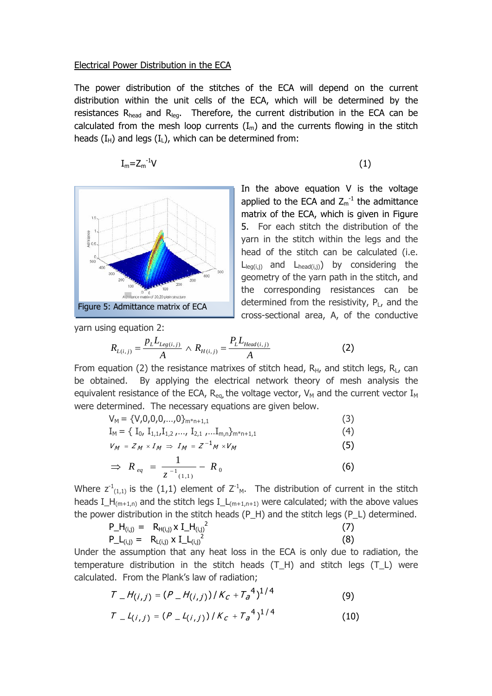#### Electrical Power Distribution in the ECA

The power distribution of the stitches of the ECA will depend on the current distribution within the unit cells of the ECA, which will be determined by the resistances  $R_{head}$  and  $R_{lead}$ . Therefore, the current distribution in the ECA can be calculated from the mesh loop currents  $(I_m)$  and the currents flowing in the stitch heads  $(I_H)$  and legs  $(I_L)$ , which can be determined from:

$$
I_m = Z_m^{-1}V \tag{1}
$$



In the above equation V is the voltage applied to the ECA and  $Z_m^{-1}$  the admittance matrix of the ECA, which is given in Figure 5. For each stitch the distribution of the yarn in the stitch within the legs and the head of the stitch can be calculated (i.e.  $L_{\text{leaf}(i,j)}$  and  $L_{\text{head}(i,j)}$  by considering the geometry of the yarn path in the stitch, and the corresponding resistances can be determined from the resistivity,  $P_{\perp}$ , and the cross-sectional area, A, of the conductive

yarn using equation 2:

$$
R_{L(i,j)} = \frac{p_L L_{Leg(i,j)}}{A} \wedge R_{H(i,j)} = \frac{P_L L_{Head(i,j)}}{A}
$$
 (2)

From equation (2) the resistance matrixes of stitch head,  $R_{H}$ , and stitch legs,  $R_{L}$ , can be obtained. By applying the electrical network theory of mesh analysis the equivalent resistance of the ECA,  $R_{eq}$ , the voltage vector,  $V_M$  and the current vector  $I_M$ were determined. The necessary equations are given below.

$$
V_M = \{V, 0, 0, 0, \ldots, 0\}_{m^* n + 1, 1}
$$
 (3)

$$
I_{M} = \{ I_{0}, I_{1,1}, I_{1,2}, \ldots, I_{2,1}, \ldots I_{m,n} \}_{m^{*} n+1,1}
$$
 (4)

$$
V_M = Z_M \times I_M \Rightarrow I_M = Z^{-1} M \times V_M \tag{5}
$$

$$
\Rightarrow R_{eq} = \frac{1}{z^{-1} (1,1)} - R_0 \tag{6}
$$

Where  $z^1_{(1,1)}$  is the (1,1) element of  $z^1_{M}$ . The distribution of current in the stitch heads I\_H<sub>(m+1,n)</sub> and the stitch legs I\_L<sub>(m+1,n+1)</sub> were calculated; with the above values the power distribution in the stitch heads (P\_H) and the stitch legs (P\_L) determined.

$$
P_{-}H_{(i,j)} = R_{H(i,j)} \times I_{-}H_{(i,j)}^{2}
$$
  
\n
$$
P_{-}L_{(i,j)} = R_{L(i,j)} \times I_{-}L_{(i,j)}^{2}
$$
 (7)

Under the assumption that any heat loss in the ECA is only due to radiation, the temperature distribution in the stitch heads (T\_H) and stitch legs (T\_L) were calculated. From the Plank's law of radiation;

$$
T_{-}H_{(i,j)} = (P_{-}H_{(i,j)})/K_{c} + T_{a}^{4})^{1/4}
$$
\n(9)

$$
T = L(i,j) = (P - L(i,j)) / K_c + T_a^4)^{1/4}
$$
 (10)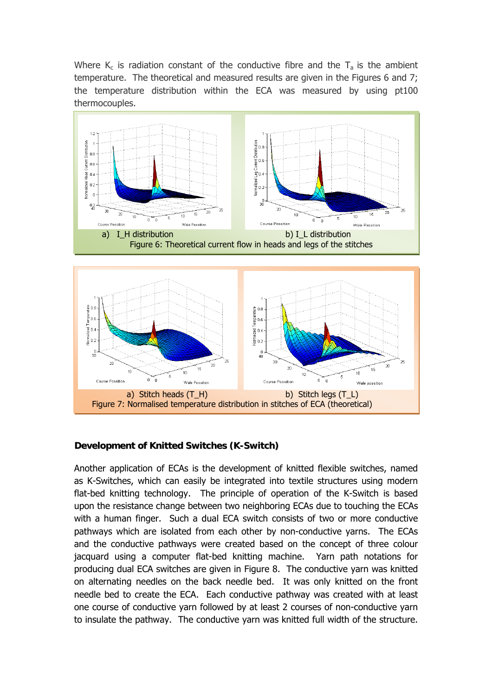Where  $K_c$  is radiation constant of the conductive fibre and the  $T_a$  is the ambient temperature. The theoretical and measured results are given in the Figures 6 and 7; the temperature distribution within the ECA was measured by using pt100 thermocouples.





### **Development of Knitted Switches (K-Switch)**

Another application of ECAs is the development of knitted flexible switches, named as K-Switches, which can easily be integrated into textile structures using modern flat-bed knitting technology. The principle of operation of the K-Switch is based upon the resistance change between two neighboring ECAs due to touching the ECAs with a human finger. Such a dual ECA switch consists of two or more conductive pathways which are isolated from each other by non-conductive yarns. The ECAs and the conductive pathways were created based on the concept of three colour jacquard using a computer flat-bed knitting machine. Yarn path notations for producing dual ECA switches are given in Figure 8. The conductive yarn was knitted on alternating needles on the back needle bed. It was only knitted on the front needle bed to create the ECA. Each conductive pathway was created with at least one course of conductive yarn followed by at least 2 courses of non-conductive yarn to insulate the pathway. The conductive yarn was knitted full width of the structure.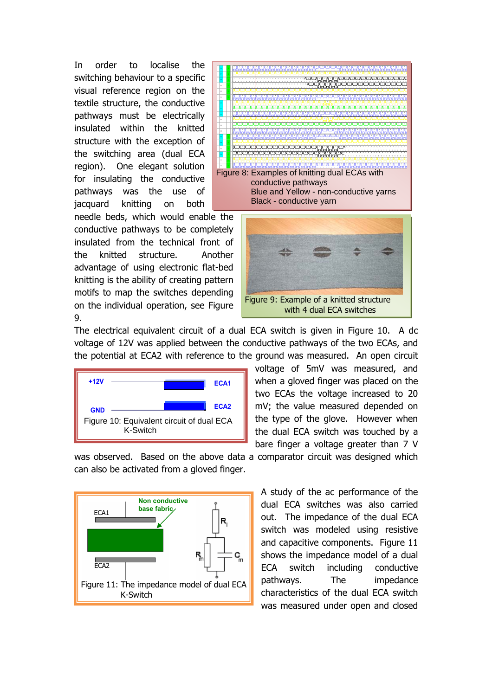In order to localise the switching behaviour to a specific visual reference region on the textile structure, the conductive pathways must be electrically insulated within the knitted structure with the exception of the switching area (dual ECA region). One elegant solution for insulating the conductive pathways was the use of jacquard knitting on both

needle beds, which would enable the conductive pathways to be completely insulated from the technical front of the knitted structure. Another advantage of using electronic flat-bed knitting is the ability of creating pattern motifs to map the switches depending on the individual operation, see Figure 9.





The electrical equivalent circuit of a dual ECA switch is given in Figure 10. A dc voltage of 12V was applied between the conductive pathways of the two ECAs, and the potential at ECA2 with reference to the ground was measured. An open circuit



voltage of 5mV was measured, and when a gloved finger was placed on the two ECAs the voltage increased to 20 mV; the value measured depended on the type of the glove. However when the dual ECA switch was touched by a bare finger a voltage greater than 7 V

was observed. Based on the above data a comparator circuit was designed which can also be activated from a gloved finger.



A study of the ac performance of the dual ECA switches was also carried out. The impedance of the dual ECA switch was modeled using resistive and capacitive components. Figure 11 shows the impedance model of a dual ECA switch including conductive pathways. The impedance characteristics of the dual ECA switch was measured under open and closed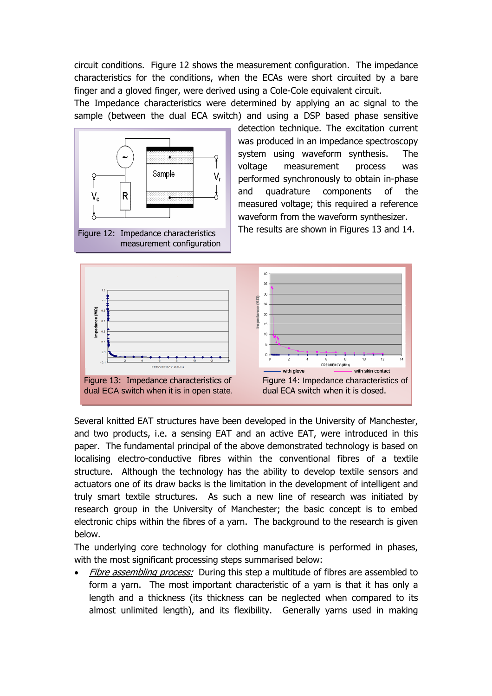circuit conditions. Figure 12 shows the measurement configuration. The impedance characteristics for the conditions, when the ECAs were short circuited by a bare finger and a gloved finger, were derived using a Cole-Cole equivalent circuit.

The Impedance characteristics were determined by applying an ac signal to the sample (between the dual ECA switch) and using a DSP based phase sensitive



measurement configuration

detection technique. The excitation current was produced in an impedance spectroscopy system using waveform synthesis. The voltage measurement process was performed synchronously to obtain in-phase and quadrature components of the measured voltage; this required a reference waveform from the waveform synthesizer.

The results are shown in Figures 13 and 14.



Several knitted EAT structures have been developed in the University of Manchester, and two products, i.e. a sensing EAT and an active EAT, were introduced in this paper. The fundamental principal of the above demonstrated technology is based on localising electro-conductive fibres within the conventional fibres of a textile structure. Although the technology has the ability to develop textile sensors and actuators one of its draw backs is the limitation in the development of intelligent and truly smart textile structures. As such a new line of research was initiated by research group in the University of Manchester; the basic concept is to embed electronic chips within the fibres of a yarn. The background to the research is given below.

The underlying core technology for clothing manufacture is performed in phases, with the most significant processing steps summarised below:

Fibre assembling process: During this step a multitude of fibres are assembled to form a yarn. The most important characteristic of a yarn is that it has only a length and a thickness (its thickness can be neglected when compared to its almost unlimited length), and its flexibility. Generally yarns used in making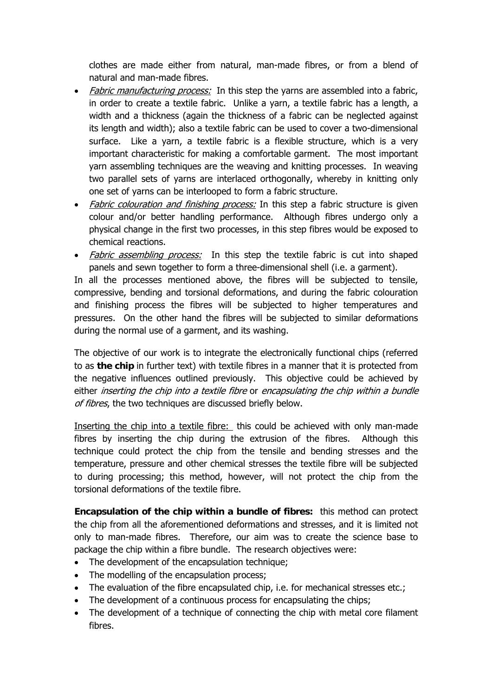clothes are made either from natural, man-made fibres, or from a blend of natural and man-made fibres.

- Fabric manufacturing process: In this step the yarns are assembled into a fabric, in order to create a textile fabric. Unlike a yarn, a textile fabric has a length, a width and a thickness (again the thickness of a fabric can be neglected against its length and width); also a textile fabric can be used to cover a two-dimensional surface. Like a yarn, a textile fabric is a flexible structure, which is a very important characteristic for making a comfortable garment. The most important yarn assembling techniques are the weaving and knitting processes. In weaving two parallel sets of yarns are interlaced orthogonally, whereby in knitting only one set of yarns can be interlooped to form a fabric structure.
- Fabric colouration and finishing process: In this step a fabric structure is given colour and/or better handling performance. Although fibres undergo only a physical change in the first two processes, in this step fibres would be exposed to chemical reactions.
- Fabric assembling process: In this step the textile fabric is cut into shaped panels and sewn together to form a three-dimensional shell (i.e. a garment).

In all the processes mentioned above, the fibres will be subjected to tensile, compressive, bending and torsional deformations, and during the fabric colouration and finishing process the fibres will be subjected to higher temperatures and pressures. On the other hand the fibres will be subjected to similar deformations during the normal use of a garment, and its washing.

The objective of our work is to integrate the electronically functional chips (referred to as **the chip** in further text) with textile fibres in a manner that it is protected from the negative influences outlined previously. This objective could be achieved by either *inserting the chip into a textile fibre* or *encapsulating the chip within a bundle* of fibres, the two techniques are discussed briefly below.

Inserting the chip into a textile fibre: this could be achieved with only man-made fibres by inserting the chip during the extrusion of the fibres. Although this technique could protect the chip from the tensile and bending stresses and the temperature, pressure and other chemical stresses the textile fibre will be subjected to during processing; this method, however, will not protect the chip from the torsional deformations of the textile fibre.

**Encapsulation of the chip within a bundle of fibres:** this method can protect the chip from all the aforementioned deformations and stresses, and it is limited not only to man-made fibres. Therefore, our aim was to create the science base to package the chip within a fibre bundle. The research objectives were:

- The development of the encapsulation technique;
- The modelling of the encapsulation process;
- The evaluation of the fibre encapsulated chip, i.e. for mechanical stresses etc.;
- The development of a continuous process for encapsulating the chips;
- The development of a technique of connecting the chip with metal core filament fibres.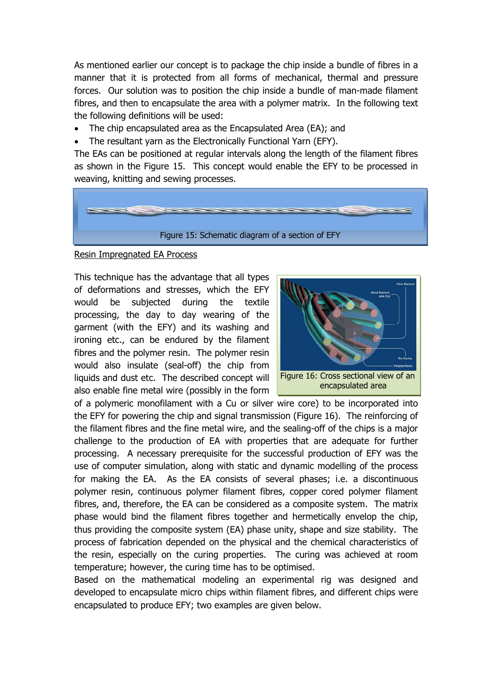As mentioned earlier our concept is to package the chip inside a bundle of fibres in a manner that it is protected from all forms of mechanical, thermal and pressure forces. Our solution was to position the chip inside a bundle of man-made filament fibres, and then to encapsulate the area with a polymer matrix. In the following text the following definitions will be used:

- The chip encapsulated area as the Encapsulated Area (EA); and
- The resultant yarn as the Electronically Functional Yarn (EFY).

The EAs can be positioned at regular intervals along the length of the filament fibres as shown in the Figure 15. This concept would enable the EFY to be processed in weaving, knitting and sewing processes.



#### Resin Impregnated EA Process

This technique has the advantage that all types of deformations and stresses, which the EFY would be subjected during the textile processing, the day to day wearing of the garment (with the EFY) and its washing and ironing etc., can be endured by the filament fibres and the polymer resin. The polymer resin would also insulate (seal-off) the chip from liquids and dust etc. The described concept will also enable fine metal wire (possibly in the form



of a polymeric monofilament with a Cu or silver wire core) to be incorporated into the EFY for powering the chip and signal transmission (Figure 16). The reinforcing of the filament fibres and the fine metal wire, and the sealing-off of the chips is a major challenge to the production of EA with properties that are adequate for further processing. A necessary prerequisite for the successful production of EFY was the use of computer simulation, along with static and dynamic modelling of the process for making the EA. As the EA consists of several phases; i.e. a discontinuous polymer resin, continuous polymer filament fibres, copper cored polymer filament fibres, and, therefore, the EA can be considered as a composite system. The matrix phase would bind the filament fibres together and hermetically envelop the chip, thus providing the composite system (EA) phase unity, shape and size stability. The process of fabrication depended on the physical and the chemical characteristics of the resin, especially on the curing properties. The curing was achieved at room temperature; however, the curing time has to be optimised.

Based on the mathematical modeling an experimental rig was designed and developed to encapsulate micro chips within filament fibres, and different chips were encapsulated to produce EFY; two examples are given below.